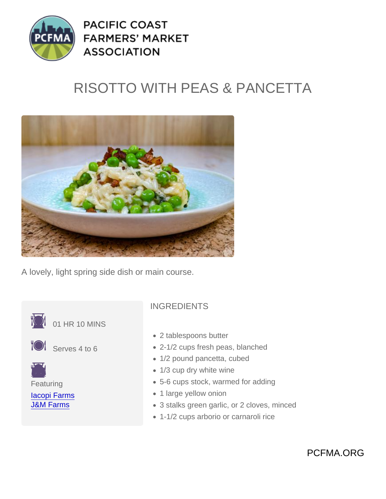## RISOTTO WITH PEAS & PANCETTA

A lovely, light spring side dish or main course.



PCFMA.ORG